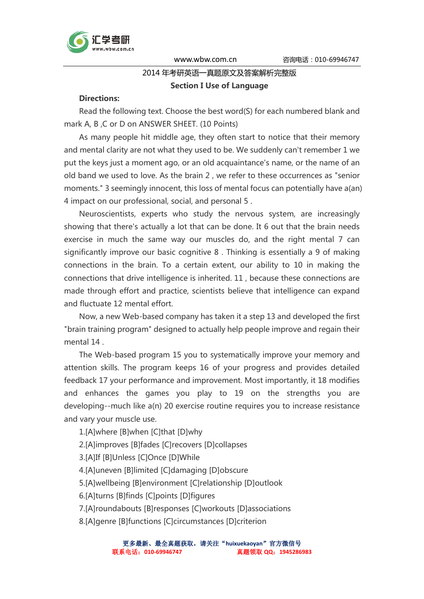

# 2014 年考研英语一真题原文及答案解析完整版 Section I Use of Language

### Directions:

Read the following text. Choose the best word(S) for each numbered blank and mark A, B ,C or D on ANSWER SHEET. (10 Points)

As many people hit middle age, they often start to notice that their memory and mental clarity are not what they used to be. We suddenly can't remember 1 we put the keys just a moment ago, or an old acquaintance's name, or the name of an old band we used to love. As the brain 2 , we refer to these occurrences as "senior moments." 3 seemingly innocent, this loss of mental focus can potentially have a(an) 4 impact on our professional, social, and personal 5 .

Neuroscientists, experts who study the nervous system, are increasingly showing that there's actually a lot that can be done. It 6 out that the brain needs exercise in much the same way our muscles do, and the right mental 7 can significantly improve our basic cognitive 8 . Thinking is essentially a 9 of making connections in the brain. To a certain extent, our ability to 10 in making the connections that drive intelligence is inherited. 11 , because these connections are made through effort and practice, scientists believe that intelligence can expand and fluctuate 12 mental effort.

Now, a new Web-based company has taken it a step 13 and developed the first "brain training program" designed to actually help people improve and regain their mental 14 .

The Web-based program 15 you to systematically improve your memory and attention skills. The program keeps 16 of your progress and provides detailed feedback 17 your performance and improvement. Most importantly, it 18 modifies and enhances the games you play to 19 on the strengths you are developing--much like a(n) 20 exercise routine requires you to increase resistance and vary your muscle use.

1.[A]where [B]when [C]that [D]why

2.[A]improves [B]fades [C]recovers [D]collapses

3.[A]If [B]Unless [C]Once [D]While

4.[A]uneven [B]limited [C]damaging [D]obscure

5.[A]wellbeing [B]environment [C]relationship [D]outlook

6.[A]turns [B]finds [C]points [D]figures

7.[A]roundabouts [B]responses [C]workouts [D]associations

8.[A]genre [B]functions [C]circumstances [D]criterion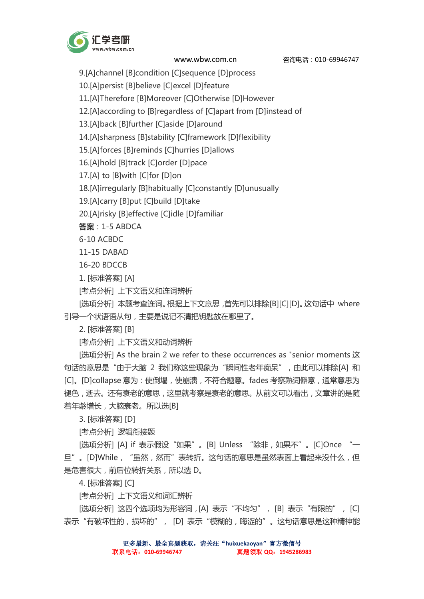

9.[A]channel [B]condition [C]sequence [D]process

10.[A]persist [B]believe [C]excel [D]feature

11.[A]Therefore [B]Moreover [C]Otherwise [D]However

12.[A]according to [B]regardless of [C]apart from [D]instead of

13.[A]back [B]further [C]aside [D]around

14.[A]sharpness [B]stability [C]framework [D]flexibility

15.[A]forces [B]reminds [C]hurries [D]allows

16.[A]hold [B]track [C]order [D]pace

17.[A] to [B]with [C]for [D]on

18.[A]irregularly [B]habitually [C]constantly [D]unusually

19.[A]carry [B]put [C]build [D]take

20.[A]risky [B]effective [C]idle [D]familiar

答案:1-5 ABDCA

6-10 ACBDC

11-15 DABAD

16-20 BDCCB

1. [标准答案] [A]

[考点分析] 上下文语义和连词辨析

[选项分析] 本题考查连词。根据上下文意思,首先可以排除[B][C][D]。这句话中 where 引导一个状语语从句,主要是说记不清把钥匙放在哪里了。

2. [标准答案] [B]

[考点分析] 上下文语义和动词辨析

[选项分析] As the brain 2 we refer to these occurrences as "senior moments 这 句话的意思是"由于大脑 2 我们称这些现象为"瞬间性老年痴呆",由此可以排除[A] 和 [C]。[D]collapse 意为:使倒塌,使崩溃,不符合题意。fades 考察熟词僻意,通常意思为 褪色,逝去。还有衰老的意思,这里就考察是衰老的意思。从前文可以看出,文章讲的是随 着年龄增长,大脑衰老。所以选[B]

3. [标准答案] [D]

[考点分析] 逻辑衔接题

[选项分析] [A] if 表示假设"如果"。[B] Unless "除非,如果不"。[C]Once "一 旦"。[D]While, "虽然,然而"表转折。这句话的意思是虽然表面上看起来没什么, 但 是危害很大,前后位转折关系,所以选 D。

4. [标准答案] [C]

[考点分析] 上下文语义和词汇辨析

[选项分析] 这四个选项均为形容词, [A] 表示"不均匀", [B] 表示"有限的", [C] 表示"有破坏性的,损坏的", [D] 表示"模糊的,晦涩的"。这句话意思是这种精神能

> 更多最新、最全真题获取,请关注"**huixuekaoyan**"官方微信号 联系电话:**010-69946747** 真题领取 **QQ**:**1945286983**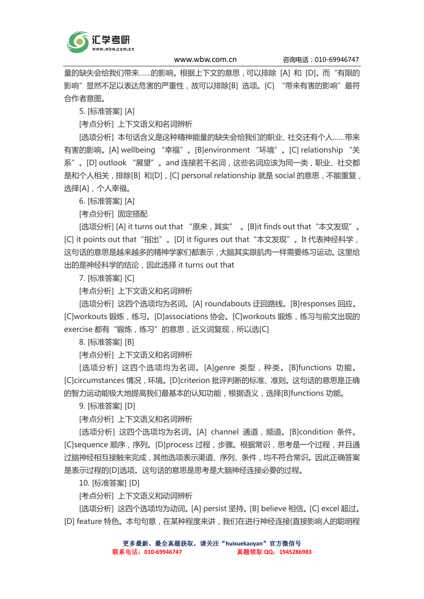

量的缺失会给我们带来……的影响。根据上下文的意思,可以排除 [A] 和 [D]。而"有限的 影响"显然不足以表达危害的严重性,故可以排除[B] 选项。[C] "带来有害的影响"最符 合作者意图。

5. [标准答案] [A]

[考点分析] 上下文语义和名词辨析

[选项分析] 本句话含义是这种精神能量的缺失会给我们的职业、社交还有个人……带来 有害的影响。[A] wellbeing "幸福"。[B]environment "环境"。[C] relationship "关 系"。[D] outlook "展望"。and 连接若干名词,这些名词应该为同一类,职业、社交都 是和个人相关, 排除[B] 和[D], [C] personal relationship 就是 social 的意思, 不能重复, 选择[A],个人幸福。

6. [标准答案] [A]

[考点分析] 固定搭配

[选项分析] [A] it turns out that "原来, 其实" 。[B]it finds out that "本文发现"。 [C] it points out that"指出"。[D] it figures out that"本文发现"。It 代表神经科学, 这句话的意思是越来越多的精神学家们都表示,大脑其实跟肌肉一样需要练习运动。这里给 出的是神经科学的结论,因此选择 it turns out that

7. [标准答案] [C]

[考点分析] 上下文语义和名词辨析

[选项分析] 这四个选项均为名词。[A] roundabouts 迂回路线。[B]responses 回应。 [C]workouts 锻炼,练习。[D]associations 协会。[C]workouts 锻炼,练习与前文出现的 exercise 都有"锻炼,练习"的意思,近义词复现,所以选[C]

8. [标准答案] [B]

[考点分析] 上下文语义和名词辨析

[选项分析] 这四个选项均为名词。[A]genre 类型,种类。[B]functions 功能。 [C]circumstances 情况,环境。[D]criterion 批评判断的标准、准则。这句话的意思是正确 的智力运动能极大地提高我们最基本的认知功能,根据语义,选择[B]functions 功能。

9. [标准答案] [D]

[考点分析] 上下文语义和名词辨析

[选项分析] 这四个选项均为名词。[A] channel 通道,频道。[B]condition 条件。 [C]sequence 顺序,序列。[D]process 过程,步骤。根据常识,思考是一个过程,并且通 过脑神经相互接触来完成,其他选项表示渠道、序列、条件,均不符合常识。因此正确答案 是表示过程的[D]选项。这句话的意思是思考是大脑神经连接必要的过程。

10. [标准答案] [D]

[考点分析] 上下文语义和动词辨析

[选项分析] 这四个选项均为动词。[A] persist 坚持。[B] believe 相信。[C] excel 超过。 [D] feature 特色。本句句意,在某种程度来讲,我们在进行神经连接(直接影响人的聪明程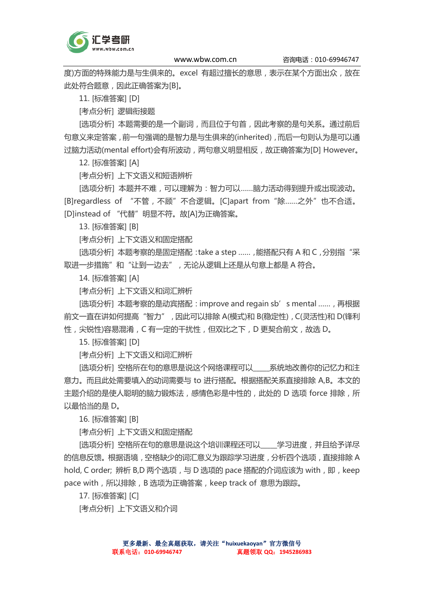

度)方面的特殊能力是与生俱来的。excel 有超过擅长的意思,表示在某个方面出众,放在 此处符合题意,因此正确答案为[B]。

11. [标准答案] [D]

[考点分析] 逻辑衔接题

[选项分析] 本题需要的是一个副词,而且位于句首,因此考察的是句关系。通过前后 句意义来定答案,前一句强调的是智力是与生俱来的(inherited),而后一句则认为是可以通 过脑力活动(mental effort)会有所波动,两句意义明显相反,故正确答案为[D] However。

12. [标准答案] [A]

[考点分析] 上下文语义和短语辨析

[选项分析] 本题并不难,可以理解为:智力可以……脑力活动得到提升或出现波动。 [B]regardless of "不管,不顾"不合逻辑。[C]apart from "除……之外"也不合适。 [D]instead of "代替"明显不符。故[A]为正确答案。

13. [标准答案] [B]

[考点分析] 上下文语义和固定搭配

[选项分析]本题考察的是固定搭配: take a step ......, 能搭配只有 A 和 C, 分别指"采 取进一步措施"和"让到一边去",无论从逻辑上还是从句意上都是 A 符合。

14. [标准答案] [A]

[考点分析] 上下文语义和词汇辨析

[选项分析]本题考察的是动宾搭配: improve and regain sb's mental ……, 再根据 前文一直在讲如何提高"智力",因此可以排除 A(模式)和 B(稳定性), C(灵活性)和 D(锋利 性, 尖锐性)容易混淆, C 有一定的干扰性, 但双比之下, D 更契合前文, 故选 D。

15. [标准答案] [D]

[考点分析] 上下文语义和词汇辨析

[选项分析] 空格所在句的意思是说这个网络课程可以\_\_\_\_\_系统地改善你的记忆力和注 意力。而且此处需要填入的动词需要与 to 进行搭配。根据搭配关系直接排除 A,B。本文的 主题介绍的是使人聪明的脑力锻炼法,感情色彩是中性的,此处的 D 选项 force 排除,所 以最恰当的是 D。

16. [标准答案] [B]

[考点分析] 上下文语义和固定搭配

[选项分析] 空格所在句的意思是说这个培训课程还可以\_\_\_\_\_学习进度,并且给予详尽 的信息反馈。根据语境,空格缺少的词汇意义为跟踪学习进度,分析四个选项,直接排除 A hold, C order; 辨析 B,D 两个选项, 与 D 选项的 pace 搭配的介词应该为 with, 即, keep pace with,所以排除, B 选项为正确答案, keep track of 意思为跟踪。

17. [标准答案] [C]

[考点分析] 上下文语义和介词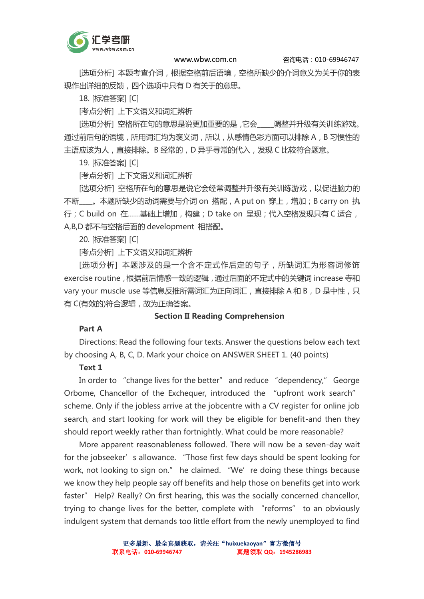

[选项分析] 本题考查介词,根据空格前后语境,空格所缺少的介词意义为关于你的表 现作出详细的反馈,四个选项中只有 D 有关于的意思。

18. [标准答案] [C]

[考点分析] 上下文语义和词汇辨析

[选项分析] 空格所在句的意思是说更加重要的是,它会\_\_\_\_\_调整并升级有关训练游戏。 通过前后句的语境,所用词汇均为褒义词,所以,从感情色彩方面可以排除 A,B 习惯性的 主语应该为人,直接排除。B 经常的,D 异乎寻常的代入,发现 C 比较符合题意。

19. [标准答案] [C]

[考点分析] 上下文语义和词汇辨析

[选项分析] 空格所在句的意思是说它会经常调整并升级有关训练游戏,以促进脑力的 不断\_\_\_\_。本题所缺少的动词需要与介词 on 搭配, A put on 穿上, 增加; B carry on 执 行;C build on 在……基础上增加,构建;D take on 呈现;代入空格发现只有 C 适合, A,B,D 都不与空格后面的 development 相搭配。

20. [标准答案] [C]

[考点分析] 上下文语义和词汇辨析

[选项分析] 本题涉及的是一个含不定式作后定的句子,所缺词汇为形容词修饰 exercise routine,根据前后情感一致的逻辑,通过后面的不定式中的关键词 increase 寺和 vary your muscle use 等信息反推所需词汇为正向词汇,直接排除 A 和 B, D 是中性, 只 有 C(有效的)符合逻辑,故为正确答案。

#### Section II Reading Comprehension

#### Part A

Directions: Read the following four texts. Answer the questions below each text by choosing A, B, C, D. Mark your choice on ANSWER SHEET 1. (40 points)

#### Text 1

In order to "change lives for the better" and reduce "dependency," George Orbome, Chancellor of the Exchequer, introduced the "upfront work search" scheme. Only if the jobless arrive at the jobcentre with a CV register for online job search, and start looking for work will they be eligible for benefit-and then they should report weekly rather than fortnightly. What could be more reasonable?

More apparent reasonableness followed. There will now be a seven-day wait for the jobseeker's allowance. "Those first few days should be spent looking for work, not looking to sign on." he claimed. "We' re doing these things because we know they help people say off benefits and help those on benefits get into work faster" Help? Really? On first hearing, this was the socially concerned chancellor, trying to change lives for the better, complete with "reforms" to an obviously indulgent system that demands too little effort from the newly unemployed to find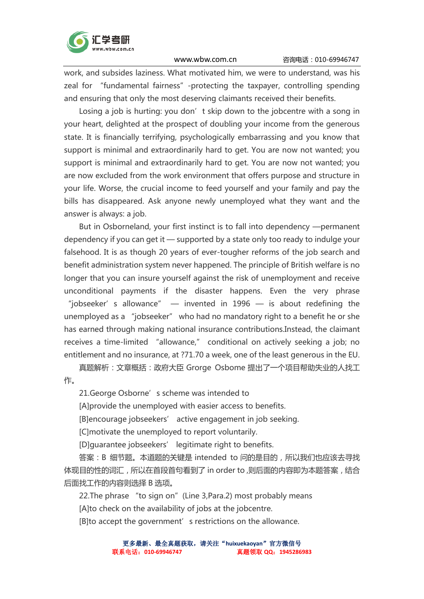

work, and subsides laziness. What motivated him, we were to understand, was his zeal for "fundamental fairness"-protecting the taxpayer, controlling spending and ensuring that only the most deserving claimants received their benefits.

Losing a job is hurting: you don't skip down to the jobcentre with a song in your heart, delighted at the prospect of doubling your income from the generous state. It is financially terrifying, psychologically embarrassing and you know that support is minimal and extraordinarily hard to get. You are now not wanted; you support is minimal and extraordinarily hard to get. You are now not wanted; you are now excluded from the work environment that offers purpose and structure in your life. Worse, the crucial income to feed yourself and your family and pay the bills has disappeared. Ask anyone newly unemployed what they want and the answer is always: a job.

But in Osborneland, your first instinct is to fall into dependency —permanent dependency if you can get it — supported by a state only too ready to indulge your falsehood. It is as though 20 years of ever-tougher reforms of the job search and benefit administration system never happened. The principle of British welfare is no longer that you can insure yourself against the risk of unemployment and receive unconditional payments if the disaster happens. Even the very phrase "jobseeker's allowance"  $-$  invented in 1996  $-$  is about redefining the unemployed as a "jobseeker" who had no mandatory right to a benefit he or she has earned through making national insurance contributions.Instead, the claimant receives a time-limited "allowance," conditional on actively seeking a job; no entitlement and no insurance, at ?71.70 a week, one of the least generous in the EU.

真题解析:文章概括:政府大臣 Grorge Osbome 提出了一个项目帮助失业的人找工 作。

21. George Osborne's scheme was intended to

[A]provide the unemployed with easier access to benefits.

[B]encourage jobseekers' active engagement in job seeking.

[C]motivate the unemployed to report voluntarily.

[D]guarantee jobseekers' legitimate right to benefits.

答案:B 细节题。本道题的关键是 intended to 问的是目的,所以我们也应该去寻找 体现目的性的词汇,所以在首段首句看到了 in order to ,则后面的内容即为本题答案,结合 后面找工作的内容则选择 B 选项。

22.The phrase "to sign on" (Line 3, Para.2) most probably means

[A]to check on the availability of jobs at the jobcentre.

[B]to accept the government' s restrictions on the allowance.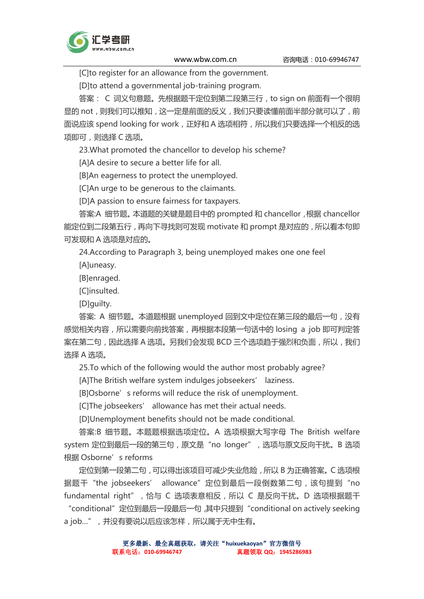

[C]to register for an allowance from the government.

[D]to attend a governmental job-training program.

答案: C 词义句意题。先根据题干定位到第二段第三行,to sign on 前面有一个很明 显的 not,则我们可以推知,这一定是前面的反义,我们只要读懂前面半部分就可以了,前 面说应该 spend looking for work,正好和 A 选项相符,所以我们只要选择一个相反的选 项即可,则选择 C 选项。

23.What promoted the chancellor to develop his scheme?

[A]A desire to secure a better life for all.

[B]An eagerness to protect the unemployed.

[C]An urge to be generous to the claimants.

[D]A passion to ensure fairness for taxpayers.

答案:A 细节题。本道题的关键是题目中的 prompted 和 chancellor,根据 chancellor 能定位到二段第五行,再向下寻找则可发现 motivate 和 prompt 是对应的,所以看本句即 可发现和 A 选项是对应的。

24.According to Paragraph 3, being unemployed makes one one feel

[A]uneasy.

[B]enraged.

[C]insulted.

[D]guilty.

答案: A 细节题。本道题根据 unemployed 回到文中定位在第三段的最后一句,没有 感觉相关内容,所以需要向前找答案,再根据本段第一句话中的 losing a job 即可判定答 案在第二句,因此选择 A 选项。另我们会发现 BCD 三个选项趋于强烈和负面, 所以, 我们 选择 A 选项。

25.To which of the following would the author most probably agree?

[A]The British welfare system indulges jobseekers' laziness.

[B]Osborne's reforms will reduce the risk of unemployment.

[C]The jobseekers' allowance has met their actual needs.

[D]Unemployment benefits should not be made conditional.

答案:B 细节题。本题题根据选项定位。A 选项根据大写字母 The British welfare system 定位到最后一段的第三句,原文是"no longer",选项与原文反向干扰。B 选项 根据 Osborne's reforms

定位到第一段第二句,可以得出该项目可减少失业危险,所以 B 为正确答案。C 选项根 据题干 "the jobseekers' allowance"定位到最后一段倒数第二句,该句提到 "no fundamental right", 恰与 C 选项表意相反, 所以 C 是反向干扰。D 选项根据题干 "conditional"定位到最后一段最后一句,其中只提到"conditional on actively seeking a job...", 并没有要说以后应该怎样, 所以属于无中生有。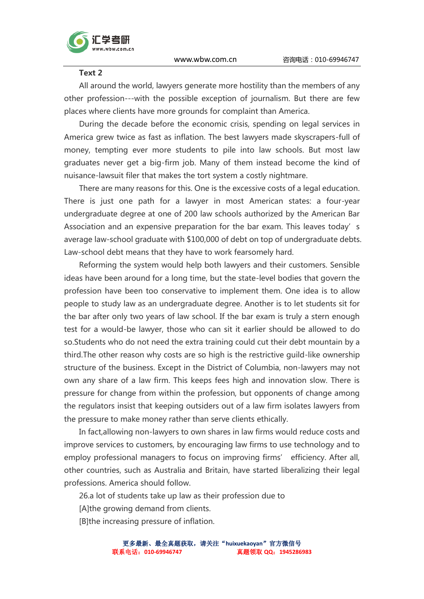

#### Text 2

All around the world, lawyers generate more hostility than the members of any other profession---with the possible exception of journalism. But there are few places where clients have more grounds for complaint than America.

During the decade before the economic crisis, spending on legal services in America grew twice as fast as inflation. The best lawyers made skyscrapers-full of money, tempting ever more students to pile into law schools. But most law graduates never get a big-firm job. Many of them instead become the kind of nuisance-lawsuit filer that makes the tort system a costly nightmare.

There are many reasons for this. One is the excessive costs of a legal education. There is just one path for a lawyer in most American states: a four-year undergraduate degree at one of 200 law schools authorized by the American Bar Association and an expensive preparation for the bar exam. This leaves today's average law-school graduate with \$100,000 of debt on top of undergraduate debts. Law-school debt means that they have to work fearsomely hard.

Reforming the system would help both lawyers and their customers. Sensible ideas have been around for a long time, but the state-level bodies that govern the profession have been too conservative to implement them. One idea is to allow people to study law as an undergraduate degree. Another is to let students sit for the bar after only two years of law school. If the bar exam is truly a stern enough test for a would-be lawyer, those who can sit it earlier should be allowed to do so.Students who do not need the extra training could cut their debt mountain by a third.The other reason why costs are so high is the restrictive guild-like ownership structure of the business. Except in the District of Columbia, non-lawyers may not own any share of a law firm. This keeps fees high and innovation slow. There is pressure for change from within the profession, but opponents of change among the regulators insist that keeping outsiders out of a law firm isolates lawyers from the pressure to make money rather than serve clients ethically.

In fact,allowing non-lawyers to own shares in law firms would reduce costs and improve services to customers, by encouraging law firms to use technology and to employ professional managers to focus on improving firms' efficiency. After all, other countries, such as Australia and Britain, have started liberalizing their legal professions. America should follow.

26.a lot of students take up law as their profession due to

[A]the growing demand from clients.

[B]the increasing pressure of inflation.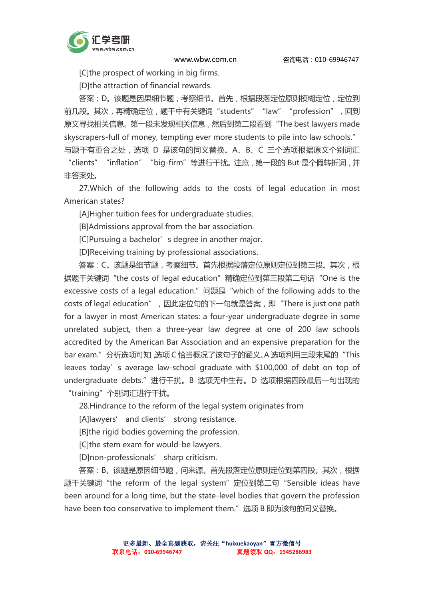

[C]the prospect of working in big firms.

[D]the attraction of financial rewards.

答案:D。该题是因果细节题,考察细节。首先,根据段落定位原则模糊定位,定位到 前几段。其次,再精确定位,题干中有关键词"students""law""profession",回到 原文寻找相关信息。第一段未发现相关信息,然后到第二段看到"The best lawyers made skyscrapers-full of money, tempting ever more students to pile into law schools." 与题干有重合之处,选项 D 是该句的同义替换。A、B、C 三个选项根据原文个别词汇 "clients" "inflation" "big-firm" 等进行干扰。注意,第一段的 But 是个假转折词,并 非答案处。

27.Which of the following adds to the costs of legal education in most American states?

[A]Higher tuition fees for undergraduate studies.

[B]Admissions approval from the bar association.

[C]Pursuing a bachelor's degree in another major.

[D]Receiving training by professional associations.

答案:C。该题是细节题,考察细节。首先根据段落定位原则定位到第三段。其次,根 据题干关键词"the costs of legal education"精确定位到第三段第二句话"One is the excessive costs of a legal education." 问题是 "which of the following adds to the costs of legal education", 因此定位句的下一句就是答案, 即 "There is just one path for a lawyer in most American states: a four-year undergraduate degree in some unrelated subject, then a three-year law degree at one of 200 law schools accredited by the American Bar Association and an expensive preparation for the bar exam."分析选项可知,选项 C 恰当概况了该句子的涵义。A 选项利用三段末尾的"This leaves today's average law-school graduate with \$100,000 of debt on top of undergraduate debts."进行干扰。B 选项无中生有。D 选项根据四段最后一句出现的 "training"个别词汇进行干扰。

28.Hindrance to the reform of the legal system originates from

[A]lawyers' and clients' strong resistance.

[B]the rigid bodies governing the profession.

[C]the stem exam for would-be lawyers.

[D]non-professionals' sharp criticism.

答案:B。该题是原因细节题,问来源。首先段落定位原则定位到第四段。其次,根据 题干关键词"the reform of the legal system"定位到第二句"Sensible ideas have been around for a long time, but the state-level bodies that govern the profession have been too conservative to implement them."选项 B 即为该句的同义替换。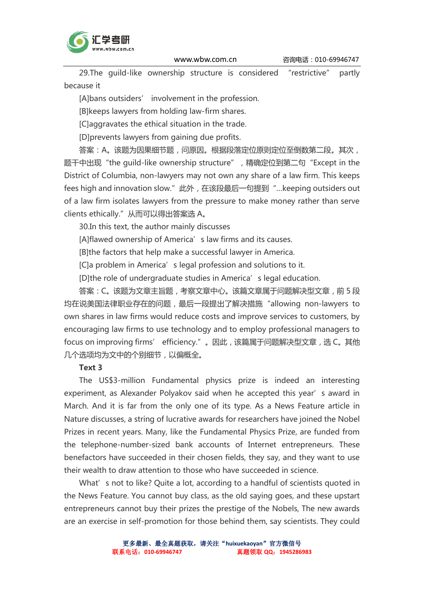

29.The guild-like ownership structure is considered "restrictive" partly because it

[A]bans outsiders' involvement in the profession.

[B]keeps lawyers from holding law-firm shares.

[C]aggravates the ethical situation in the trade.

[D]prevents lawyers from gaining due profits.

答案:A。该题为因果细节题,问原因。根据段落定位原则定位至倒数第二段。其次, 题干中出现"the guild-like ownership structure",精确定位到第二句"Except in the District of Columbia, non-lawyers may not own any share of a law firm. This keeps fees high and innovation slow."此外,在该段最后一句提到"…keeping outsiders out of a law firm isolates lawyers from the pressure to make money rather than serve clients ethically."从而可以得出答案选 A。

30.In this text, the author mainly discusses

[A]flawed ownership of America' s law firms and its causes.

[B]the factors that help make a successful lawyer in America.

[C]a problem in America's legal profession and solutions to it.

[D]the role of undergraduate studies in America's legal education.

答案:C。该题为文章主旨题,考察文章中心。该篇文章属于问题解决型文章,前 5 段 均在说美国法律职业存在的问题,最后一段提出了解决措施"allowing non-lawyers to own shares in law firms would reduce costs and improve services to customers, by encouraging law firms to use technology and to employ professional managers to focus on improving firms' efficiency."。因此,该篇属于问题解决型文章,选 C。其他 几个选项均为文中的个别细节,以偏概全。

#### Text 3

The US\$3-million Fundamental physics prize is indeed an interesting experiment, as Alexander Polyakov said when he accepted this year's award in March. And it is far from the only one of its type. As a News Feature article in Nature discusses, a string of lucrative awards for researchers have joined the Nobel Prizes in recent years. Many, like the Fundamental Physics Prize, are funded from the telephone-number-sized bank accounts of Internet entrepreneurs. These benefactors have succeeded in their chosen fields, they say, and they want to use their wealth to draw attention to those who have succeeded in science.

What's not to like? Quite a lot, according to a handful of scientists quoted in the News Feature. You cannot buy class, as the old saying goes, and these upstart entrepreneurs cannot buy their prizes the prestige of the Nobels, The new awards are an exercise in self-promotion for those behind them, say scientists. They could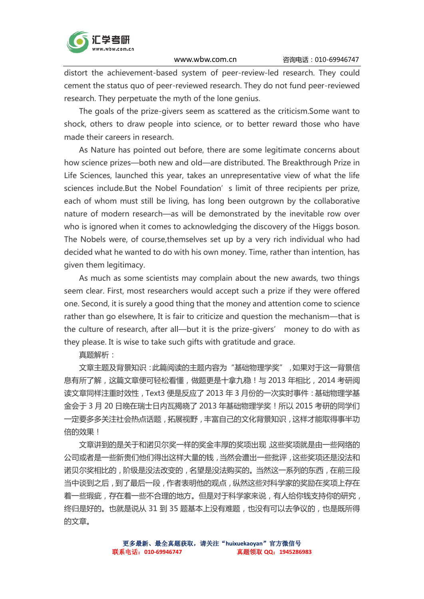

distort the achievement-based system of peer-review-led research. They could cement the status quo of peer-reviewed research. They do not fund peer-reviewed research. They perpetuate the myth of the lone genius.

The goals of the prize-givers seem as scattered as the criticism.Some want to shock, others to draw people into science, or to better reward those who have made their careers in research.

As Nature has pointed out before, there are some legitimate concerns about how science prizes—both new and old—are distributed. The Breakthrough Prize in Life Sciences, launched this year, takes an unrepresentative view of what the life sciences include.But the Nobel Foundation's limit of three recipients per prize, each of whom must still be living, has long been outgrown by the collaborative nature of modern research—as will be demonstrated by the inevitable row over who is ignored when it comes to acknowledging the discovery of the Higgs boson. The Nobels were, of course,themselves set up by a very rich individual who had decided what he wanted to do with his own money. Time, rather than intention, has given them legitimacy.

As much as some scientists may complain about the new awards, two things seem clear. First, most researchers would accept such a prize if they were offered one. Second, it is surely a good thing that the money and attention come to science rather than go elsewhere, It is fair to criticize and question the mechanism—that is the culture of research, after all—but it is the prize-givers' money to do with as they please. It is wise to take such gifts with gratitude and grace.

真题解析:

文章主题及背景知识:此篇阅读的主题内容为"基础物理学奖",如果对于这一背景信 息有所了解,这篇文章便可轻松看懂,做题更是十拿九稳!与 2013 年相比,2014 考研阅 读文章同样注重时效性,Text3 便是反应了 2013 年 3 月份的一次实时事件:基础物理学基 金会于 3 月 20 日晚在瑞士日内瓦揭晓了 2013 年基础物理学奖!所以 2015 考研的同学们 一定要多多关注社会热点话题,拓展视野,丰富自己的文化背景知识,这样才能取得事半功 倍的效果!

文章讲到的是关于和诺贝尔奖一样的奖金丰厚的奖项出现,这些奖项就是由一些网络的 公司或者是一些新贵们他们得出这样大量的钱,当然会遭出一些批评,这些奖项还是没法和 诺贝尔奖相比的,阶级是没法改变的,名望是没法购买的。当然这一系列的东西,在前三段 当中谈到之后,到了最后一段,作者表明他的观点,纵然这些对科学家的奖励在奖项上存在 着一些瑕疵,存在着一些不合理的地方。但是对于科学家来说,有人给你钱支持你的研究, 终归是好的。也就是说从 31 到 35 题基本上没有难题, 也没有可以去争议的, 也是既所得 的文章。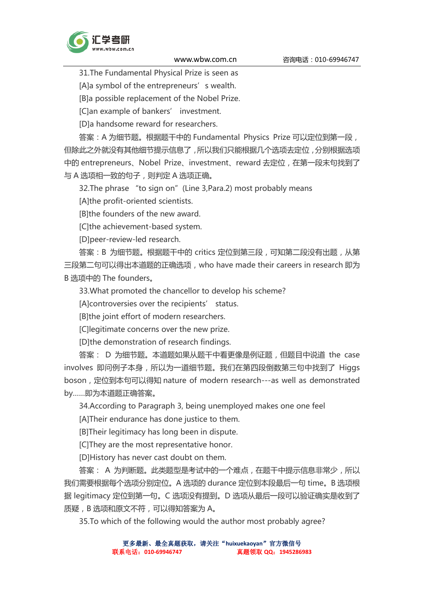

31.The Fundamental Physical Prize is seen as

[A]a symbol of the entrepreneurs' s wealth.

[B]a possible replacement of the Nobel Prize.

[C]an example of bankers' investment.

[D]a handsome reward for researchers.

答案:A 为细节题。根据题干中的 Fundamental Physics Prize 可以定位到第一段, 但除此之外就没有其他细节提示信息了,所以我们只能根据几个选项去定位,分别根据选项 中的 entrepreneurs、Nobel Prize、investment、reward 去定位, 在第一段末句找到了 与 A 选项相一致的句子,则判定 A 选项正确。

32. The phrase "to sign on" (Line 3, Para.2) most probably means

[A]the profit-oriented scientists.

[B]the founders of the new award.

[C]the achievement-based system.

[D]peer-review-led research.

答案:B 为细节题。根据题干中的 critics 定位到第三段,可知第二段没有出题,从第 三段第二句可以得出本道题的正确选项,who have made their careers in research 即为 B 选项中的 The founders。

33.What promoted the chancellor to develop his scheme?

[A]controversies over the recipients' status.

[B]the joint effort of modern researchers.

[C]legitimate concerns over the new prize.

[D]the demonstration of research findings.

答案: D 为细节题。本道题如果从题干中看更像是例证题,但题目中说道 the case involves 即问例子本身,所以为一道细节题。我们在第四段倒数第三句中找到了 Higgs boson, 定位到本句可以得知 nature of modern research---as well as demonstrated by……即为本道题正确答案。

34.According to Paragraph 3, being unemployed makes one one feel

[A]Their endurance has done justice to them.

[B]Their legitimacy has long been in dispute.

[C]They are the most representative honor.

[D]History has never cast doubt on them.

答案: A 为判断题。此类题型是考试中的一个难点,在题干中提示信息非常少,所以 我们需要根据每个选项分别定位。A 选项的 durance 定位到本段最后一句 time。B 选项根 据 legitimacy 定位到第一句。C 选项没有提到。D 选项从最后一段可以验证确实是收到了 质疑,B 选项和原文不符,可以得知答案为 A。

35.To which of the following would the author most probably agree?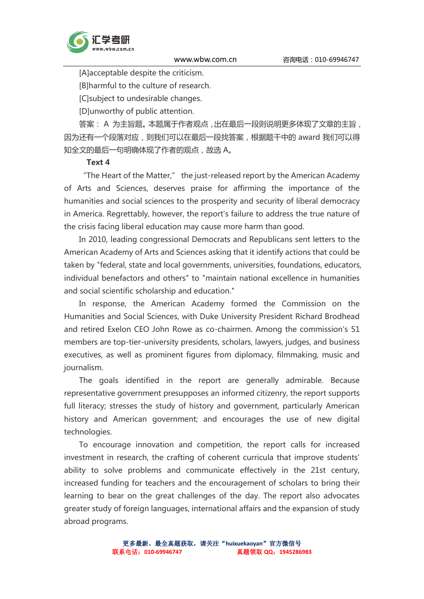

[A]acceptable despite the criticism.

[B]harmful to the culture of research.

[C]subject to undesirable changes.

[D]unworthy of public attention.

答案: A 为主旨题。本题属于作者观点,出在最后一段则说明更多体现了文章的主旨, 因为还有一个段落对应,则我们可以在最后一段找答案,根据题干中的 award 我们可以得 知全文的最后一句明确体现了作者的观点,故选 A。

#### Text 4

"The Heart of the Matter," the just-released report by the American Academy of Arts and Sciences, deserves praise for affirming the importance of the humanities and social sciences to the prosperity and security of liberal democracy in America. Regrettably, however, the report's failure to address the true nature of the crisis facing liberal education may cause more harm than good.

In 2010, leading congressional Democrats and Republicans sent letters to the American Academy of Arts and Sciences asking that it identify actions that could be taken by "federal, state and local governments, universities, foundations, educators, individual benefactors and others" to "maintain national excellence in humanities and social scientific scholarship and education."

In response, the American Academy formed the Commission on the Humanities and Social Sciences, with Duke University President Richard Brodhead and retired Exelon CEO John Rowe as co-chairmen. Among the commission's 51 members are top-tier-university presidents, scholars, lawyers, judges, and business executives, as well as prominent figures from diplomacy, filmmaking, music and journalism.

The goals identified in the report are generally admirable. Because representative government presupposes an informed citizenry, the report supports full literacy; stresses the study of history and government, particularly American history and American government; and encourages the use of new digital technologies.

To encourage innovation and competition, the report calls for increased investment in research, the crafting of coherent curricula that improve students' ability to solve problems and communicate effectively in the 21st century, increased funding for teachers and the encouragement of scholars to bring their learning to bear on the great challenges of the day. The report also advocates greater study of foreign languages, international affairs and the expansion of study abroad programs.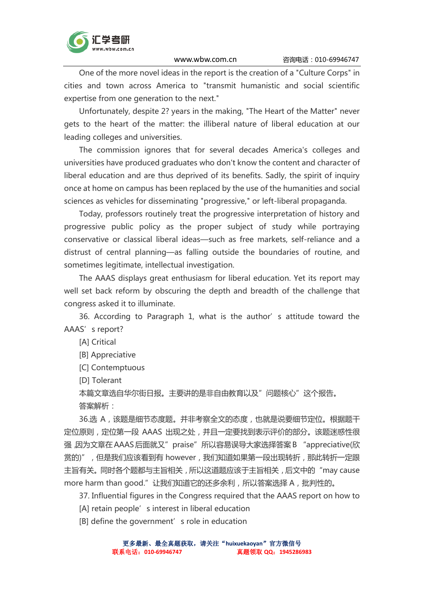

One of the more novel ideas in the report is the creation of a "Culture Corps" in cities and town across America to "transmit humanistic and social scientific expertise from one generation to the next."

Unfortunately, despite 2? years in the making, "The Heart of the Matter" never gets to the heart of the matter: the illiberal nature of liberal education at our leading colleges and universities.

The commission ignores that for several decades America's colleges and universities have produced graduates who don't know the content and character of liberal education and are thus deprived of its benefits. Sadly, the spirit of inquiry once at home on campus has been replaced by the use of the humanities and social sciences as vehicles for disseminating "progressive," or left-liberal propaganda.

Today, professors routinely treat the progressive interpretation of history and progressive public policy as the proper subject of study while portraying conservative or classical liberal ideas—such as free markets, self-reliance and a distrust of central planning—as falling outside the boundaries of routine, and sometimes legitimate, intellectual investigation.

The AAAS displays great enthusiasm for liberal education. Yet its report may well set back reform by obscuring the depth and breadth of the challenge that congress asked it to illuminate.

36. According to Paragraph 1, what is the author's attitude toward the AAAS's report?

[A] Critical

[B] Appreciative

[C] Contemptuous

[D] Tolerant

本篇文章选自华尔街日报。主要讲的是非自由教育以及"问题核心"这个报告。 答案解析:

36.选 A,该题是细节态度题。并非考察全文的态度,也就是说要细节定位。根据题干 定位原则,定位第一段 AAAS 出现之处,并且一定要找到表示评价的部分。该题迷惑性很 强,因为文章在AAAS后面就又"praise"所以容易误导大家选择答案B "appreciative(欣 赏的)",但是我们应该看到有 however, 我们知道如果第一段出现转折, 那此转折一定跟 主旨有关。同时各个题都与主旨相关, 所以这道题应该于主旨相关, 后文中的"may cause more harm than good."让我们知道它的还多余利,所以答案选择 A,批判性的。

37. Influential figures in the Congress required that the AAAS report on how to

[A] retain people's interest in liberal education

[B] define the government' s role in education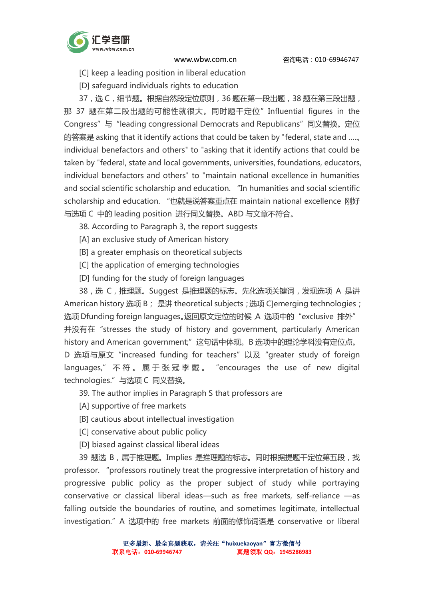

[C] keep a leading position in liberal education

[D] safeguard individuals rights to education

37,选 C,细节题。根据自然段定位原则,36 题在第一段出题,38 题在第三段出题, 那 37 题在第二段出题的可能性就很大。同时题干定位"Influential figures in the Congress"与 "leading congressional Democrats and Republicans"同义替换。定位 的答案是 asking that it identify actions that could be taken by "federal, state and ….., individual benefactors and others" to "asking that it identify actions that could be taken by "federal, state and local governments, universities, foundations, educators, individual benefactors and others" to "maintain national excellence in humanities and social scientific scholarship and education. "In humanities and social scientific scholarship and education. "也就是说答案重点在 maintain national excellence 刚好 与选项 C 中的 leading position 进行同义替换。ABD 与文章不符合。

- 38. According to Paragraph 3, the report suggests
- [A] an exclusive study of American history
- [B] a greater emphasis on theoretical subjects
- [C] the application of emerging technologies
- [D] funding for the study of foreign languages

38,选 C,推理题。Suggest 是推理题的标志。先化选项关键词,发现选项 A 是讲 American history 选项 B; 是讲 theoretical subjects;选项 C]emerging technologies; 选项 Dfunding foreign languages。返回原文定位的时候 A 选项中的 "exclusive 排外" 并没有在 "stresses the study of history and government, particularly American history and American government;"这句话中体现。B 选项中的理论学科没有定位点。 D 选项与原文"increased funding for teachers"以及"greater study of foreign languages," 不 符 。 属 于 张 冠 李 戴 。 "encourages the use of new digital technologies."与选项 C 同义替换。

- 39. The author implies in Paragraph S that professors are
- [A] supportive of free markets
- [B] cautious about intellectual investigation
- [C] conservative about public policy
- [D] biased against classical liberal ideas

39 题选 B,属于推理题。Implies 是推理题的标志。同时根据提题干定位第五段, 找 professor. "professors routinely treat the progressive interpretation of history and progressive public policy as the proper subject of study while portraying conservative or classical liberal ideas—such as free markets, self-reliance —as falling outside the boundaries of routine, and sometimes legitimate, intellectual investigation."A 选项中的 free markets 前面的修饰词语是 conservative or liberal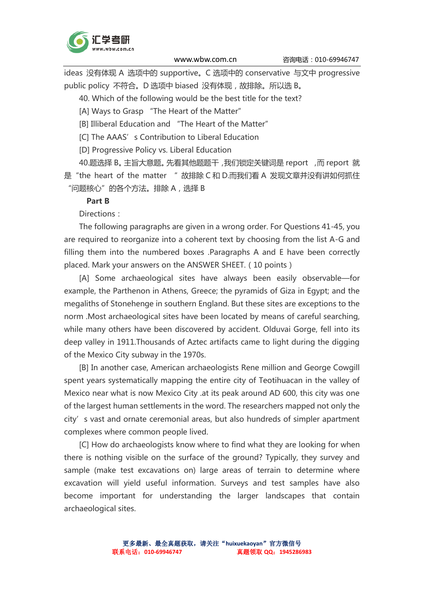

ideas 没有体现 A 选项中的 supportive。C 选项中的 conservative 与文中 progressive public policy 不符合。D 选项中 biased 没有体现, 故排除。所以选 B。

40. Which of the following would be the best title for the text?

[A] Ways to Grasp "The Heart of the Matter"

[B] Illiberal Education and "The Heart of the Matter"

[C] The AAAS's Contribution to Liberal Education

[D] Progressive Policy vs. Liberal Education

40.题选择 B。主旨大意题。先看其他题题干,我们锁定关键词是 report ,而 report 就 是"the heart of the matter " 故排除 C 和 D.而我们看 A 发现文章并没有讲如何抓住 "问题核心"的各个方法。排除 A, 选择 B

#### Part B

Directions:

The following paragraphs are given in a wrong order. For Questions 41-45, you are required to reorganize into a coherent text by choosing from the list A-G and filling them into the numbered boxes .Paragraphs A and E have been correctly placed. Mark your answers on the ANSWER SHEET.(10 points)

[A] Some archaeological sites have always been easily observable—for example, the Parthenon in Athens, Greece; the pyramids of Giza in Egypt; and the megaliths of Stonehenge in southern England. But these sites are exceptions to the norm .Most archaeological sites have been located by means of careful searching, while many others have been discovered by accident. Olduvai Gorge, fell into its deep valley in 1911.Thousands of Aztec artifacts came to light during the digging of the Mexico City subway in the 1970s.

[B] In another case, American archaeologists Rene million and George Cowgill spent years systematically mapping the entire city of Teotihuacan in the valley of Mexico near what is now Mexico City .at its peak around AD 600, this city was one of the largest human settlements in the word. The researchers mapped not only the city's vast and ornate ceremonial areas, but also hundreds of simpler apartment complexes where common people lived.

[C] How do archaeologists know where to find what they are looking for when there is nothing visible on the surface of the ground? Typically, they survey and sample (make test excavations on) large areas of terrain to determine where excavation will yield useful information. Surveys and test samples have also become important for understanding the larger landscapes that contain archaeological sites.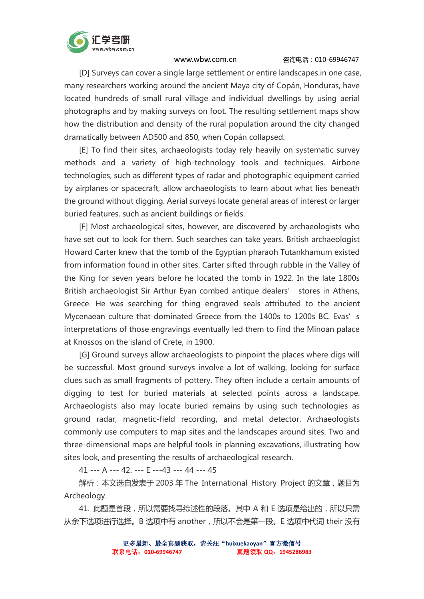

[D] Surveys can cover a single large settlement or entire landscapes.in one case, many researchers working around the ancient Maya city of Copán, Honduras, have located hundreds of small rural village and individual dwellings by using aerial photographs and by making surveys on foot. The resulting settlement maps show how the distribution and density of the rural population around the city changed dramatically between AD500 and 850, when Copán collapsed.

[E] To find their sites, archaeologists today rely heavily on systematic survey methods and a variety of high-technology tools and techniques. Airbone technologies, such as different types of radar and photographic equipment carried by airplanes or spacecraft, allow archaeologists to learn about what lies beneath the ground without digging. Aerial surveys locate general areas of interest or larger buried features, such as ancient buildings or fields.

[F] Most archaeological sites, however, are discovered by archaeologists who have set out to look for them. Such searches can take years. British archaeologist Howard Carter knew that the tomb of the Egyptian pharaoh Tutankhamum existed from information found in other sites. Carter sifted through rubble in the Valley of the King for seven years before he located the tomb in 1922. In the late 1800s British archaeologist Sir Arthur Eyan combed antique dealers' stores in Athens, Greece. He was searching for thing engraved seals attributed to the ancient Mycenaean culture that dominated Greece from the 1400s to 1200s BC. Evas's interpretations of those engravings eventually led them to find the Minoan palace at Knossos on the island of Crete, in 1900.

[G] Ground surveys allow archaeologists to pinpoint the places where digs will be successful. Most ground surveys involve a lot of walking, looking for surface clues such as small fragments of pottery. They often include a certain amounts of digging to test for buried materials at selected points across a landscape. Archaeologists also may locate buried remains by using such technologies as ground radar, magnetic-field recording, and metal detector. Archaeologists commonly use computers to map sites and the landscapes around sites. Two and three-dimensional maps are helpful tools in planning excavations, illustrating how sites look, and presenting the results of archaeological research.

41 --- A --- 42. --- E ---43 --- 44 --- 45

解析: 本文选自发表于 2003 年 The International History Project 的文章, 题目为 Archeology.

41. 此题是首段,所以需要找寻综述性的段落。其中 A 和 E 选项是给出的, 所以只需 从余下选项进行选择。B 选项中有 another, 所以不会是第一段。E 选项中代词 their 没有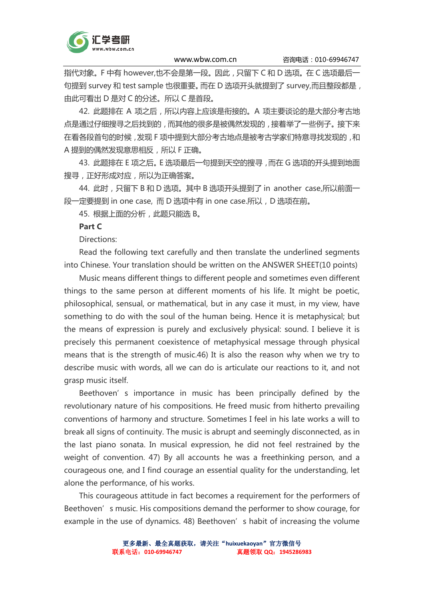

指代对象。F 中有 however,也不会是第一段。因此,只留下 C 和 D 选项。在 C 选项最后一 句提到 survey 和 test sample 也很重要。而在 D 选项开头就提到了 survey,而且整段都是, 由此可看出 D 是对 C 的分述。所以 C 是首段。

42. 此题排在 A 项之后,所以内容上应该是衔接的。A 项主要谈论的是大部分考古地 点是通过仔细搜寻之后找到的,而其他的很多是被偶然发现的,接着举了一些例子。接下来 在看各段首句的时候,发现 F 项中提到大部分考古地点是被考古学家们特意寻找发现的,和 A 提到的偶然发现意思相反,所以 F 正确。

43. 此题排在 E 项之后。E 选项最后一句提到天空的搜寻,而在 G 选项的开头提到地面 搜寻,正好形成对应,所以为正确答案。

44. 此时,只留下 B 和 D 选项。其中 B 选项开头提到了 in another case,所以前面一 段一定要提到 in one case, 而 D 选项中有 in one case.所以,D 选项在前。

45. 根据上面的分析,此题只能选 B。

Part C

Directions:

Read the following text carefully and then translate the underlined segments into Chinese. Your translation should be written on the ANSWER SHEET(10 points)

Music means different things to different people and sometimes even different things to the same person at different moments of his life. It might be poetic, philosophical, sensual, or mathematical, but in any case it must, in my view, have something to do with the soul of the human being. Hence it is metaphysical; but the means of expression is purely and exclusively physical: sound. I believe it is precisely this permanent coexistence of metaphysical message through physical means that is the strength of music.46) It is also the reason why when we try to describe music with words, all we can do is articulate our reactions to it, and not grasp music itself.

Beethoven's importance in music has been principally defined by the revolutionary nature of his compositions. He freed music from hitherto prevailing conventions of harmony and structure. Sometimes I feel in his late works a will to break all signs of continuity. The music is abrupt and seemingly disconnected, as in the last piano sonata. In musical expression, he did not feel restrained by the weight of convention. 47) By all accounts he was a freethinking person, and a courageous one, and I find courage an essential quality for the understanding, let alone the performance, of his works.

This courageous attitude in fact becomes a requirement for the performers of Beethoven's music. His compositions demand the performer to show courage, for example in the use of dynamics. 48) Beethoven's habit of increasing the volume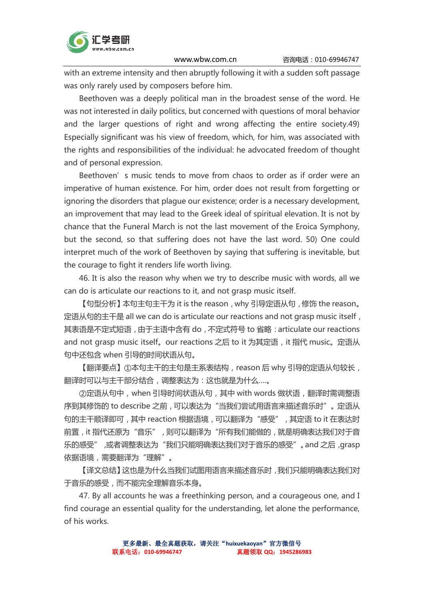

with an extreme intensity and then abruptly following it with a sudden soft passage was only rarely used by composers before him.

Beethoven was a deeply political man in the broadest sense of the word. He was not interested in daily politics, but concerned with questions of moral behavior and the larger questions of right and wrong affecting the entire society.49) Especially significant was his view of freedom, which, for him, was associated with the rights and responsibilities of the individual: he advocated freedom of thought and of personal expression.

Beethoven's music tends to move from chaos to order as if order were an imperative of human existence. For him, order does not result from forgetting or ignoring the disorders that plague our existence; order is a necessary development, an improvement that may lead to the Greek ideal of spiritual elevation. It is not by chance that the Funeral March is not the last movement of the Eroica Symphony, but the second, so that suffering does not have the last word. 50) One could interpret much of the work of Beethoven by saying that suffering is inevitable, but the courage to fight it renders life worth living.

46. It is also the reason why when we try to describe music with words, all we can do is articulate our reactions to it, and not grasp music itself.

【句型分析】本句主句主干为 it is the reason,why 引导定语从句,修饰 the reason。 定语从句的主干是 all we can do is articulate our reactions and not grasp music itself, 其表语是不定式短语,由于主语中含有 do,不定式符号 to 省略: articulate our reactions and not grasp music itself, our reactions 之后 to it 为其定语, it 指代 music。定语从 句中还包含 when 引导的时间状语从句。

【翻译要点】①本句主干的主句是主系表结构,reason 后 why 引导的定语从句较长, 翻译时可以与主干部分结合,调整表达为:这也就是为什么….。

②定语从句中,when 引导时间状语从句,其中 with words 做状语,翻译时需调整语 序到其修饰的 to describe 之前, 可以表达为"当我们尝试用语言来描述音乐时"。定语从 句的主干顺译即可, 其中 reaction 根据语境, 可以翻译为"感受", 其定语 to it 在表达时 前置, it 指代还原为"音乐", 则可以翻译为"所有我们能做的, 就是明确表达我们对于音 乐的感受",或者调整表达为"我们只能明确表达我们对于音乐的感受"。and 之后,grasp 依据语境,需要翻译为"理解"。

【译文总结】这也是为什么当我们试图用语言来描述音乐时,我们只能明确表达我们对 于音乐的感受,而不能完全理解音乐本身。

47. By all accounts he was a freethinking person, and a courageous one, and I find courage an essential quality for the understanding, let alone the performance, of his works.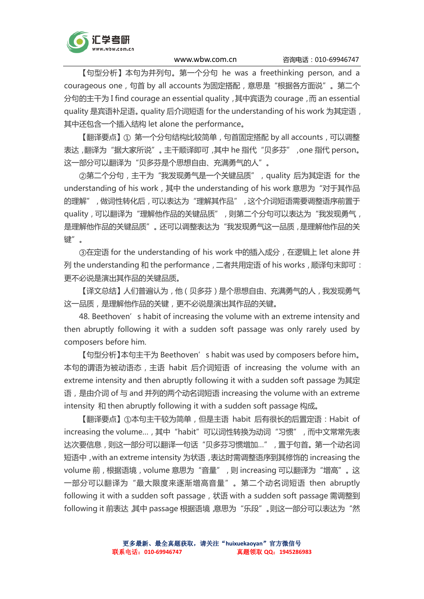

【句型分析】本句为并列句。第一个分句 he was a freethinking person, and a courageous one,句首 by all accounts 为固定搭配,意思是"根据各方面说"。第二个 分句的主干为 I find courage an essential quality, 其中宾语为 courage, 而 an essential quality 是宾语补足语。quality 后介词短语 for the understanding of his work 为其定语, 其中还包含一个插入结构 let alone the performance。

【翻译要点】① 第一个分句结构比较简单,句首固定搭配 by all accounts,可以调整 表达,翻译为"据大家所说"。主干顺译即可,其中 he 指代"贝多芬", one 指代 person。 这一部分可以翻译为"贝多芬是个思想自由、充满勇气的人"。

②第二个分句,主干为"我发现勇气是一个关键品质",quality 后为其定语 for the understanding of his work, 其中 the understanding of his work 意思为"对于其作品 的理解",做词性转化后,可以表达为"理解其作品",这个介词短语需要调整语序前置于 quality,可以翻译为"理解他作品的关键品质",则第二个分句可以表达为"我发现勇气, 是理解他作品的关键品质"。还可以调整表达为"我发现勇气这一品质,是理解他作品的关 键"。

③在定语 for the understanding of his work 中的插入成分,在逻辑上 let alone 并 列 the understanding 和 the performance,二者共用定语 of his works,顺译句末即可: 更不必说是演出其作品的关键品质。

【译文总结】人们普遍认为,他(贝多芬)是个思想自由、充满勇气的人,我发现勇气 这一品质,是理解他作品的关键,更不必说是演出其作品的关键。

48. Beethoven's habit of increasing the volume with an extreme intensity and then abruptly following it with a sudden soft passage was only rarely used by composers before him.

【句型分析】本句主干为 Beethoven's habit was used by composers before him。 本句的谓语为被动语态,主语 habit 后介词短语 of increasing the volume with an extreme intensity and then abruptly following it with a sudden soft passage 为其定 语,是由介词 of 与 and 并列的两个动名词短语 increasing the volume with an extreme intensity 和 then abruptly following it with a sudden soft passage 构成。

【翻译要点】①本句主干较为简单,但是主语 habit 后有很长的后置定语:Habit of increasing the volume..., 其中"habit"可以词性转换为动词"习惯",而中文常常先表 达次要信息,则这一部分可以翻译一句话"贝多芬习惯增加…",置于句首。第一个动名词 短语中,with an extreme intensity 为状语,表达时需调整语序到其修饰的 increasing the volume 前, 根据语境, volume 意思为"音量", 则 increasing 可以翻译为"增高"。这 一部分可以翻译为"最大限度来逐渐增高音量"。第二个动名词短语 then abruptly following it with a sudden soft passage, 状语 with a sudden soft passage 需调整到 following it 前表达, 其中 passage 根据语境, 意思为"乐段"。则这一部分可以表达为"然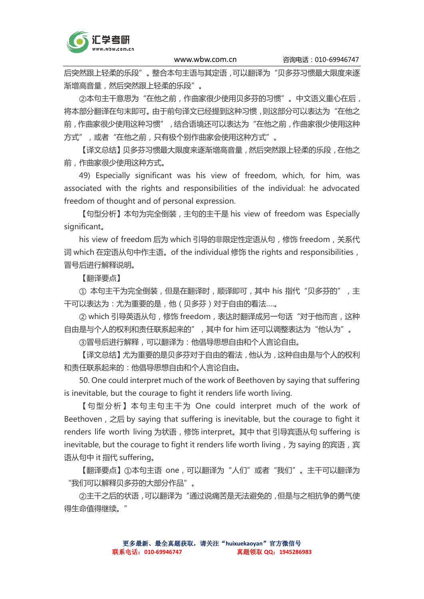

后突然跟上轻柔的乐段"。整合本句主语与其定语,可以翻译为"贝多芬习惯最大限度来逐 渐增高音量,然后突然跟上轻柔的乐段"。

②本句主干意思为"在他之前,作曲家很少使用贝多芬的习惯"。中文语义重心在后, 将本部分翻译在句末即可。由于前句译文已经提到这种习惯,则这部分可以表达为"在他之 前,作曲家很少使用这种习惯",结合语境还可以表达为"在他之前,作曲家很少使用这种 方式",或者"在他之前,只有极个别作曲家会使用这种方式"。

【译文总结】贝多芬习惯最大限度来逐渐增高音量,然后突然跟上轻柔的乐段,在他之 前,作曲家很少使用这种方式。

49) Especially significant was his view of freedom, which, for him, was associated with the rights and responsibilities of the individual: he advocated freedom of thought and of personal expression.

【句型分析】本句为完全倒装,主句的主干是 his view of freedom was Especially significant。

his view of freedom 后为 which 引导的非限定性定语从句,修饰 freedom,关系代 词 which 在定语从句中作主语。of the individual 修饰 the rights and responsibilities, 冒号后进行解释说明。

【翻译要点】

① 本句主干为完全倒装,但是在翻译时,顺译即可,其中 his 指代"贝多芬的",主 干可以表达为:尤为重要的是,他(贝多芬)对于自由的看法….。

② which 引导英语从句,修饰 freedom,表达时翻译成另一句话"对于他而言,这种 自由是与个人的权利和责任联系起来的", 其中 for him 还可以调整表达为"他认为"。

③冒号后进行解释,可以翻译为:他倡导思想自由和个人言论自由。

【译文总结】尤为重要的是贝多芬对于自由的看法,他认为,这种自由是与个人的权利 和责任联系起来的:他倡导思想自由和个人言论自由。

50. One could interpret much of the work of Beethoven by saying that suffering is inevitable, but the courage to fight it renders life worth living.

【 句型 分析 】本 句主 句主 干为 One could interpret much of the work of Beethoven, 之后 by saying that suffering is inevitable, but the courage to fight it renders life worth living 为状语,修饰 interpret。其中 that 引导宾语从句 suffering is inevitable, but the courage to fight it renders life worth living, 为 saying 的宾语,宾 语从句中 it 指代 suffering。

【翻译要点】①本句主语 one,可以翻译为"人们"或者"我们"。主干可以翻译为 "我们可以解释贝多芬的大部分作品"。

②主干之后的状语,可以翻译为"通过说痛苦是无法避免的,但是与之相抗争的勇气使 得生命值得继续。"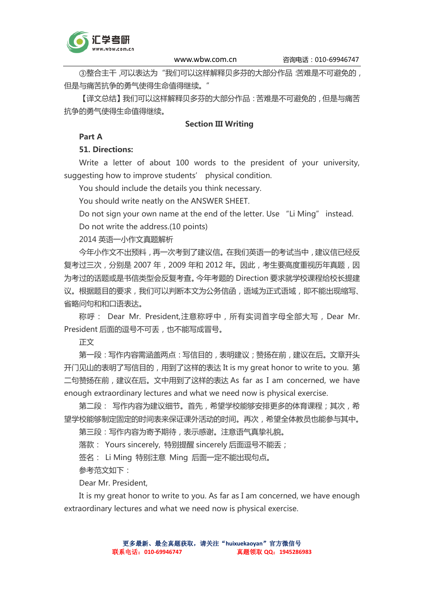

3整合主干,可以表达为"我们可以这样解释贝多芬的大部分作品:苦难是不可避免的, 但是与痛苦抗争的勇气使得生命值得继续。"

【译文总结】我们可以这样解释贝多芬的大部分作品:苦难是不可避免的,但是与痛苦 抗争的勇气使得生命值得继续。

#### Section III Writing

## Part A

#### 51. Directions:

Write a letter of about 100 words to the president of your university, suggesting how to improve students' physical condition.

You should include the details you think necessary.

You should write neatly on the ANSWER SHEET.

Do not sign your own name at the end of the letter. Use "Li Ming" instead. Do not write the address.(10 points)

2014 英语一小作文真题解析

今年小作文不出预料,再一次考到了建议信。在我们英语一的考试当中,建议信已经反 复考过三次,分别是 2007 年,2009 年和 2012 年。因此,考生要高度重视历年真题,因 为考过的话题或是书信类型会反复考查。今年考题的 Direction 要求就学校课程给校长提建 议。根据题目的要求,我们可以判断本文为公务信函,语域为正式语域,即不能出现缩写、 省略问句和和口语表达。

称呼: Dear Mr. President,注意称呼中,所有实词首字母全部大写,Dear Mr. President 后面的逗号不可丢, 也不能写成冒号。

正文

第一段:写作内容需涵盖两点:写信目的,表明建议;赞扬在前,建议在后。文章开头 开门见山的表明了写信目的, 用到了这样的表达 It is my great honor to write to you. 第 二句赞扬在前,建议在后。文中用到了这样的表达 As far as I am concerned, we have enough extraordinary lectures and what we need now is physical exercise.

第二段:写作内容为建议细节。首先,希望学校能够安排更多的体育课程;其次,希 望学校能够制定固定的时间表来保证课外活动的时间。再次,希望全体教员也能参与其中。

第三段:写作内容为寄予期待,表示感谢。注意语气真挚礼貌。

落款: Yours sincerely, 特别提醒 sincerely 后面逗号不能丢;

签名: Li Ming 特别注意 Ming 后面一定不能出现句点。

参考范文如下:

Dear Mr. President,

It is my great honor to write to you. As far as I am concerned, we have enough extraordinary lectures and what we need now is physical exercise.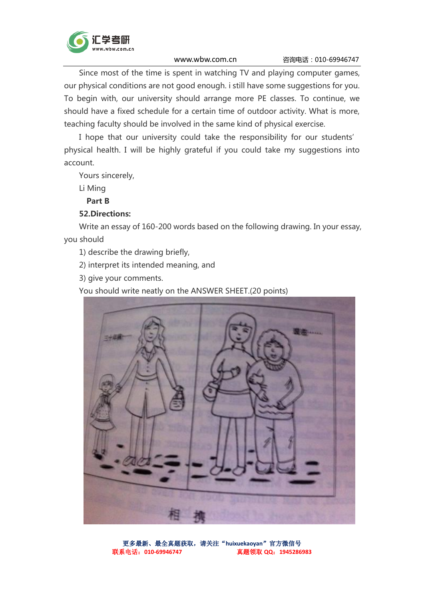

Since most of the time is spent in watching TV and playing computer games, our physical conditions are not good enough. i still have some suggestions for you. To begin with, our university should arrange more PE classes. To continue, we should have a fixed schedule for a certain time of outdoor activity. What is more, teaching faculty should be involved in the same kind of physical exercise.

I hope that our university could take the responsibility for our students' physical health. I will be highly grateful if you could take my suggestions into account.

Yours sincerely,

Li Ming

Part B

#### 52.Directions:

Write an essay of 160-200 words based on the following drawing. In your essay, you should

1) describe the drawing briefly,

2) interpret its intended meaning, and

3) give your comments.

You should write neatly on the ANSWER SHEET.(20 points)



更多最新、最全真题获取,请关注"**huixuekaoyan**"官方微信号 联系电话:**010-69946747** 真题领取 **QQ**:**1945286983**